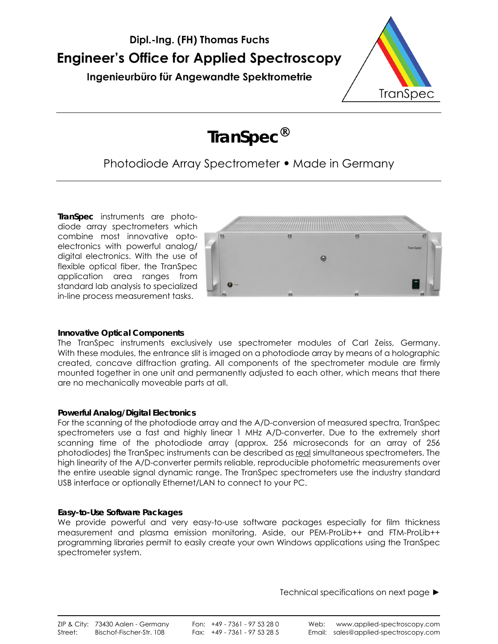



**TranSpec**

# Photodiode Array Spectrometer **•** Made in Germany

**TranSpec** instruments are photodiode array spectrometers which combine most innovative optoelectronics with powerful analog/ digital electronics. With the use of flexible optical fiber, the TranSpec application area ranges from standard lab analysis to specialized in-line process measurement tasks.



# **Innovative Optical Components**

The TranSpec instruments exclusively use spectrometer modules of Carl Zeiss, Germany. With these modules, the entrance slit is imaged on a photodiode array by means of a holographic created, concave diffraction grating. All components of the spectrometer module are firmly mounted together in one unit and permanently adjusted to each other, which means that there are no mechanically moveable parts at all.

# **Powerful Analog/Digital Electronics**

For the scanning of the photodiode array and the A/D-conversion of measured spectra, TranSpec spectrometers use a fast and highly linear 1 MHz A/D-converter. Due to the extremely short scanning time of the photodiode array (approx. 256 microseconds for an array of 256 photodiodes) the TranSpec instruments can be described as real simultaneous spectrometers. The high linearity of the A/D-converter permits reliable, reproducible photometric measurements over the entire useable signal dynamic range. The TranSpec spectrometers use the industry standard USB interface or optionally Ethernet/LAN to connect to your PC.

# **Easy-to-Use Software Packages**

We provide powerful and very easy-to-use software packages especially for film thickness measurement and plasma emission monitoring. Aside, our PEM-ProLib++ and FTM-ProLib++ programming libraries permit to easily create your own Windows applications using the TranSpec spectrometer system.

Technical specifications on next page ►